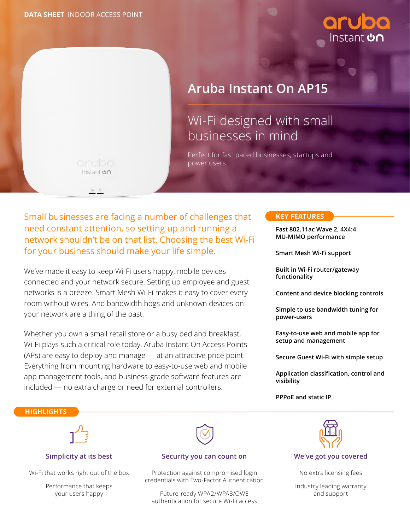nstant **con** 



# **Aruba Instant On AP15**

# Wi-Fi designed with small businesses in mind

Perfect for fast paced businesses, startups and power users.

Small businesses are facing a number of challenges that **KEY FEATURES** need constant attention, so setting up and running a network shouldn't be on that list. Choosing the best Wi-Fi for your business should make your life simple.

We've made it easy to keep Wi-Fi users happy, mobile devices connected and your network secure. Setting up employee and guest networks is a breeze. Smart Mesh Wi-Fi makes it easy to cover every room without wires. And bandwidth hogs and unknown devices on your network are a thing of the past.

Whether you own a small retail store or a busy bed and breakfast, Wi-Fi plays such a critical role today. Aruba Instant On Access Points (APs) are easy to deploy and manage — at an attractive price point. Everything from mounting hardware to easy-to-use web and mobile app management tools, and business-grade software features are included — no extra charge or need for external controllers.

**Fast 802.11ac Wave 2, 4X4:4 MU-MIMO performance**

**Smart Mesh Wi-Fi support**

**Built in Wi-Fi router/gateway functionality**

**Content and device blocking controls**

**Simple to use bandwidth tuning for power-users**

**Easy-to-use web and mobile app for setup and management**

**Secure Guest Wi-Fi with simple setup**

**Application classification, control and visibility**

#### **PPPoE and static IP**

#### **HIGHLIGHTS**



#### **Simplicity at its best**

Wi-Fi that works right out of the box

Performance that keeps your users happy



#### **Security you can count on**

Protection against compromised login credentials with Two-Factor Authentication

Future-ready WPA2/WPA3/OWE authentication for secure Wi-Fi access



**We've got you covered**

No extra licensing fees

Industry leading warranty and support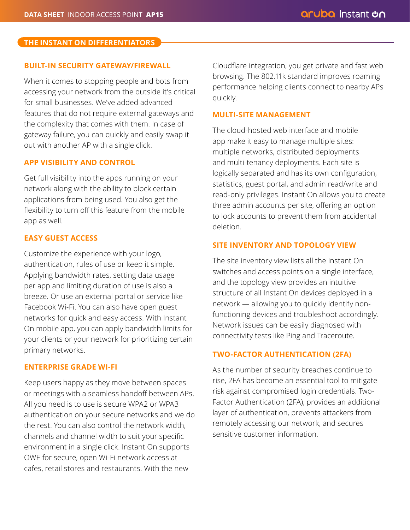# **THE INSTANT ON DIFFERENTIATORS THE INSTANT ON DIFFERENTIATORS**

# **BUILT-IN SECURITY GATEWAY/FIREWALL**

When it comes to stopping people and bots from accessing your network from the outside it's critical for small businesses. We've added advanced features that do not require external gateways and the complexity that comes with them. In case of gateway failure, you can quickly and easily swap it out with another AP with a single click.

# **APP VISIBILITY AND CONTROL**

Get full visibility into the apps running on your network along with the ability to block certain applications from being used. You also get the flexibility to turn off this feature from the mobile app as well.

# **EASY GUEST ACCESS**

Customize the experience with your logo, authentication, rules of use or keep it simple. Applying bandwidth rates, setting data usage per app and limiting duration of use is also a breeze. Or use an external portal or service like Facebook Wi-Fi. You can also have open guest networks for quick and easy access. With Instant On mobile app, you can apply bandwidth limits for your clients or your network for prioritizing certain primary networks.

# **ENTERPRISE GRADE WI-FI**

Keep users happy as they move between spaces or meetings with a seamless handoff between APs. All you need is to use is secure WPA2 or WPA3 authentication on your secure networks and we do the rest. You can also control the network width, channels and channel width to suit your specific environment in a single click. Instant On supports OWE for secure, open Wi-Fi network access at cafes, retail stores and restaurants. With the new

Cloudflare integration, you get private and fast web browsing. The 802.11k standard improves roaming performance helping clients connect to nearby APs quickly.

# **MULTI-SITE MANAGEMENT**

The cloud-hosted web interface and mobile app make it easy to manage multiple sites: multiple networks, distributed deployments and multi-tenancy deployments. Each site is logically separated and has its own configuration, statistics, guest portal, and admin read/write and read-only privileges. Instant On allows you to create three admin accounts per site, offering an option to lock accounts to prevent them from accidental deletion.

# **SITE INVENTORY AND TOPOLOGY VIEW**

The site inventory view lists all the Instant On switches and access points on a single interface, and the topology view provides an intuitive structure of all Instant On devices deployed in a network — allowing you to quickly identify nonfunctioning devices and troubleshoot accordingly. Network issues can be easily diagnosed with connectivity tests like Ping and Traceroute.

# **TWO-FACTOR AUTHENTICATION (2FA)**

As the number of security breaches continue to rise, 2FA has become an essential tool to mitigate risk against compromised login credentials. Two-Factor Authentication (2FA), provides an additional layer of authentication, prevents attackers from remotely accessing our network, and secures sensitive customer information.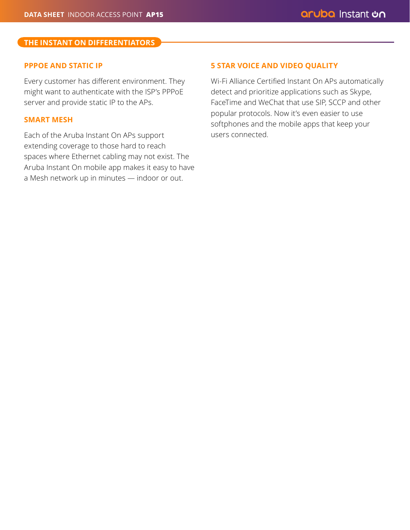### **THE INSTANT ON DIFFERENTIATORS THE INSTANT ON DIFFERENTIATORS**

### **PPPOE AND STATIC IP**

Every customer has different environment. They might want to authenticate with the ISP's PPPoE server and provide static IP to the APs.

# **SMART MESH**

Each of the Aruba Instant On APs support extending coverage to those hard to reach spaces where Ethernet cabling may not exist. The Aruba Instant On mobile app makes it easy to have a Mesh network up in minutes — indoor or out.

## **5 STAR VOICE AND VIDEO QUALITY**

Wi-Fi Alliance Certified Instant On APs automatically detect and prioritize applications such as Skype, FaceTime and WeChat that use SIP, SCCP and other popular protocols. Now it's even easier to use softphones and the mobile apps that keep your users connected.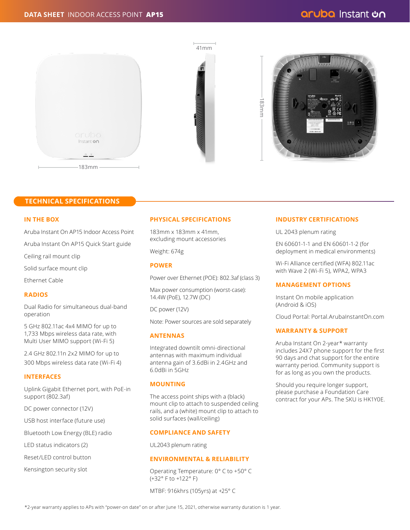





#### **TECHNICAL SPECIFICATIONS**

#### **IN THE BOX**

Aruba Instant On AP15 Indoor Access Point

Aruba Instant On AP15 Quick Start guide

Ceiling rail mount clip

Solid surface mount clip

Ethernet Cable

#### **RADIOS**

Dual Radio for simultaneous dual-band operation

5 GHz 802.11ac 4x4 MIMO for up to 1,733 Mbps wireless data rate, with Multi User MIMO support (Wi-Fi 5)

2.4 GHz 802.11n 2x2 MIMO for up to 300 Mbps wireless data rate (Wi-Fi 4)

#### **INTERFACES**

Uplink Gigabit Ethernet port, with PoE-in support (802.3af)

DC power connector (12V)

USB host interface (future use)

Bluetooth Low Energy (BLE) radio

LED status indicators (2)

Reset/LED control button

Kensington security slot

#### **PHYSICAL SPECIFICATIONS**

183mm x 183mm x 41mm, excluding mount accessories

Weight: 674g

#### **POWER**

Power over Ethernet (POE): 802.3af (class 3)

Max power consumption (worst-case): 14.4W (PoE), 12.7W (DC)

DC power (12V)

Note: Power sources are sold separately

#### **ANTENNAS**

Integrated downtilt omni-directional antennas with maximum individual antenna gain of 3.6dBi in 2.4GHz and 6.0dBi in 5GHz

#### **MOUNTING**

The access point ships with a (black) mount clip to attach to suspended ceiling rails, and a (white) mount clip to attach to solid surfaces (wall/ceiling)

#### **COMPLIANCE AND SAFETY**

UL2043 plenum rating

#### **ENVIRONMENTAL & RELIABILITY**

Operating Temperature: 0° C to +50° C (+32° F to +122° F)

MTBF: 916khrs (105yrs) at +25° C

#### **INDUSTRY CERTIFICATIONS**

UL 2043 plenum rating

EN 60601-1-1 and EN 60601-1-2 (for deployment in medical environments)

Wi-Fi Alliance certified (WFA) 802.11ac with Wave 2 (Wi-Fi 5), WPA2, WPA3

#### **MANAGEMENT OPTIONS**

Instant On mobile application (Android & iOS)

Cloud Portal: Portal.ArubaInstantOn.com

#### **WARRANTY & SUPPORT**

Aruba Instant On 2-year\* warranty includes 24X7 phone support for the first 90 days and chat support for the entire warranty period. Community support is for as long as you own the products.

Should you require longer support, please purchase a Foundation Care contract for your APs. The SKU is HK1Y0E.